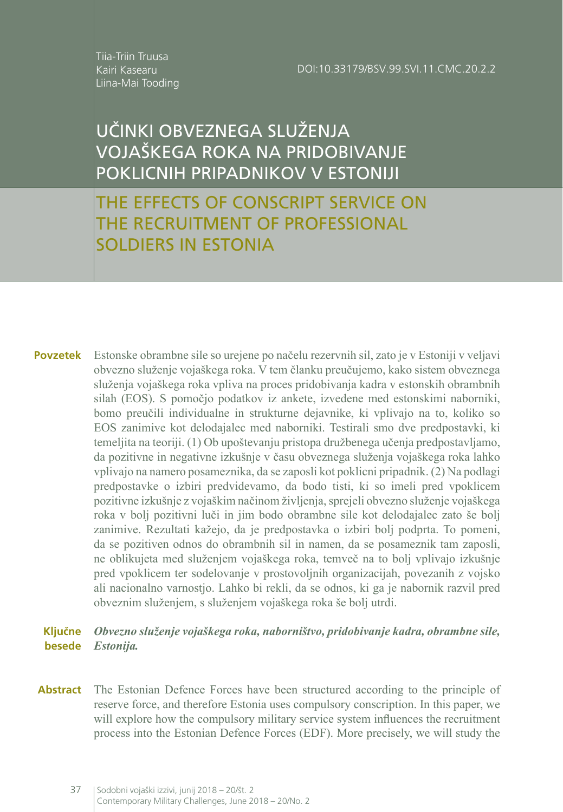Tiia-Triin Truusa Kairi Kasearu Liina-Mai Tooding

# UČINKI OBVEZNEGA SLUŽENJA VOJAŠKEGA ROKA NA PRIDOBIVANJE POKLICNIH PRIPADNIKOV V ESTONIJI

THE EFFECTS OF CONSCRIPT SERVICE ON THE RECRUITMENT OF PROFESSIONAL SOLDIERS IN ESTONIA

Estonske obrambne sile so urejene po načelu rezervnih sil, zato je v Estoniji v veljavi obvezno služenje vojaškega roka. V tem članku preučujemo, kako sistem obveznega služenja vojaškega roka vpliva na proces pridobivanja kadra v estonskih obrambnih silah (EOS). S pomočjo podatkov iz ankete, izvedene med estonskimi naborniki, bomo preučili individualne in strukturne dejavnike, ki vplivajo na to, koliko so EOS zanimive kot delodajalec med naborniki. Testirali smo dve predpostavki, ki temeljita na teoriji. (1) Ob upoštevanju pristopa družbenega učenja predpostavljamo, da pozitivne in negativne izkušnje v času obveznega služenja vojaškega roka lahko vplivajo na namero posameznika, da se zaposli kot poklicni pripadnik. (2) Na podlagi predpostavke o izbiri predvidevamo, da bodo tisti, ki so imeli pred vpoklicem pozitivne izkušnje z vojaškim načinom življenja, sprejeli obvezno služenje vojaškega roka v bolj pozitivni luči in jim bodo obrambne sile kot delodajalec zato še bolj zanimive. Rezultati kažejo, da je predpostavka o izbiri bolj podprta. To pomeni, da se pozitiven odnos do obrambnih sil in namen, da se posameznik tam zaposli, ne oblikujeta med služenjem vojaškega roka, temveč na to bolj vplivajo izkušnje pred vpoklicem ter sodelovanje v prostovoljnih organizacijah, povezanih z vojsko ali nacionalno varnostjo. Lahko bi rekli, da se odnos, ki ga je nabornik razvil pred obveznim služenjem, s služenjem vojaškega roka še bolj utrdi. **Povzetek**

#### *Obvezno služenje vojaškega roka, naborništvo, pridobivanje kadra, obrambne sile, Estonija.* **Ključne besede**

Abstract The Estonian Defence Forces have been structured according to the principle of reserve force, and therefore Estonia uses compulsory conscription. In this paper, we will explore how the compulsory military service system influences the recruitment process into the Estonian Defence Forces (EDF). More precisely, we will study the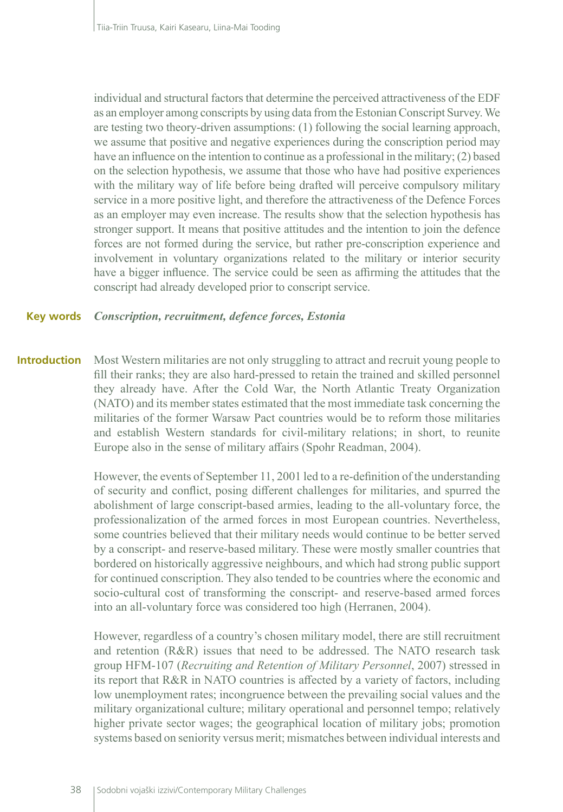individual and structural factors that determine the perceived attractiveness of the EDF as an employer among conscripts by using data from the Estonian Conscript Survey. We are testing two theory-driven assumptions: (1) following the social learning approach, we assume that positive and negative experiences during the conscription period may have an influence on the intention to continue as a professional in the military; (2) based on the selection hypothesis, we assume that those who have had positive experiences with the military way of life before being drafted will perceive compulsory military service in a more positive light, and therefore the attractiveness of the Defence Forces as an employer may even increase. The results show that the selection hypothesis has stronger support. It means that positive attitudes and the intention to join the defence forces are not formed during the service, but rather pre-conscription experience and involvement in voluntary organizations related to the military or interior security have a bigger influence. The service could be seen as affirming the attitudes that the conscript had already developed prior to conscript service.

#### **Key words** *Conscription, recruitment, defence forces, Estonia*

**Introduction** Most Western militaries are not only struggling to attract and recruit young people to fill their ranks; they are also hard-pressed to retain the trained and skilled personnel they already have. After the Cold War, the North Atlantic Treaty Organization (NATO) and its member states estimated that the most immediate task concerning the militaries of the former Warsaw Pact countries would be to reform those militaries and establish Western standards for civil-military relations; in short, to reunite Europe also in the sense of military affairs (Spohr Readman, 2004).

> However, the events of September 11, 2001 led to a re-definition of the understanding of security and conflict, posing different challenges for militaries, and spurred the abolishment of large conscript-based armies, leading to the all-voluntary force, the professionalization of the armed forces in most European countries. Nevertheless, some countries believed that their military needs would continue to be better served by a conscript- and reserve-based military. These were mostly smaller countries that bordered on historically aggressive neighbours, and which had strong public support for continued conscription. They also tended to be countries where the economic and socio-cultural cost of transforming the conscript- and reserve-based armed forces into an all-voluntary force was considered too high (Herranen, 2004).

> However, regardless of a country's chosen military model, there are still recruitment and retention (R&R) issues that need to be addressed. The NATO research task group HFM-107 (*Recruiting and Retention of Military Personnel*, 2007) stressed in its report that R&R in NATO countries is affected by a variety of factors, including low unemployment rates; incongruence between the prevailing social values and the military organizational culture; military operational and personnel tempo; relatively higher private sector wages; the geographical location of military jobs; promotion systems based on seniority versus merit; mismatches between individual interests and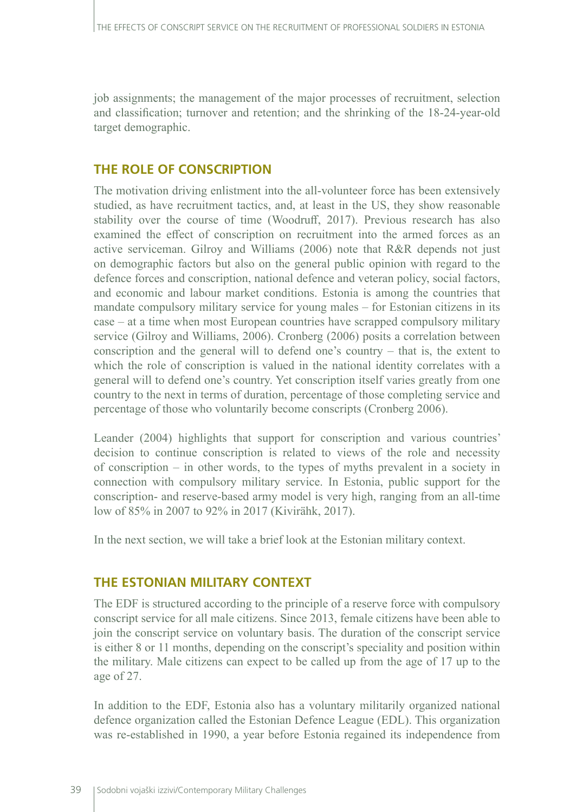job assignments; the management of the major processes of recruitment, selection and classification; turnover and retention; and the shrinking of the 18-24-year-old target demographic.

# **THE ROLE OF CONSCRIPTION**

The motivation driving enlistment into the all-volunteer force has been extensively studied, as have recruitment tactics, and, at least in the US, they show reasonable stability over the course of time (Woodruff, 2017). Previous research has also examined the effect of conscription on recruitment into the armed forces as an active serviceman. Gilroy and Williams (2006) note that R&R depends not just on demographic factors but also on the general public opinion with regard to the defence forces and conscription, national defence and veteran policy, social factors, and economic and labour market conditions. Estonia is among the countries that mandate compulsory military service for young males – for Estonian citizens in its case – at a time when most European countries have scrapped compulsory military service (Gilroy and Williams, 2006). Cronberg (2006) posits a correlation between conscription and the general will to defend one's country – that is, the extent to which the role of conscription is valued in the national identity correlates with a general will to defend one's country. Yet conscription itself varies greatly from one country to the next in terms of duration, percentage of those completing service and percentage of those who voluntarily become conscripts (Cronberg 2006).

Leander (2004) highlights that support for conscription and various countries' decision to continue conscription is related to views of the role and necessity of conscription – in other words, to the types of myths prevalent in a society in connection with compulsory military service. In Estonia, public support for the conscription- and reserve-based army model is very high, ranging from an all-time low of 85% in 2007 to 92% in 2017 (Kivirähk, 2017).

In the next section, we will take a brief look at the Estonian military context.

# **THE ESTONIAN MILITARY CONTEXT**

The EDF is structured according to the principle of a reserve force with compulsory conscript service for all male citizens. Since 2013, female citizens have been able to join the conscript service on voluntary basis. The duration of the conscript service is either 8 or 11 months, depending on the conscript's speciality and position within the military. Male citizens can expect to be called up from the age of 17 up to the age of 27.

In addition to the EDF, Estonia also has a voluntary militarily organized national defence organization called the Estonian Defence League (EDL). This organization was re-established in 1990, a year before Estonia regained its independence from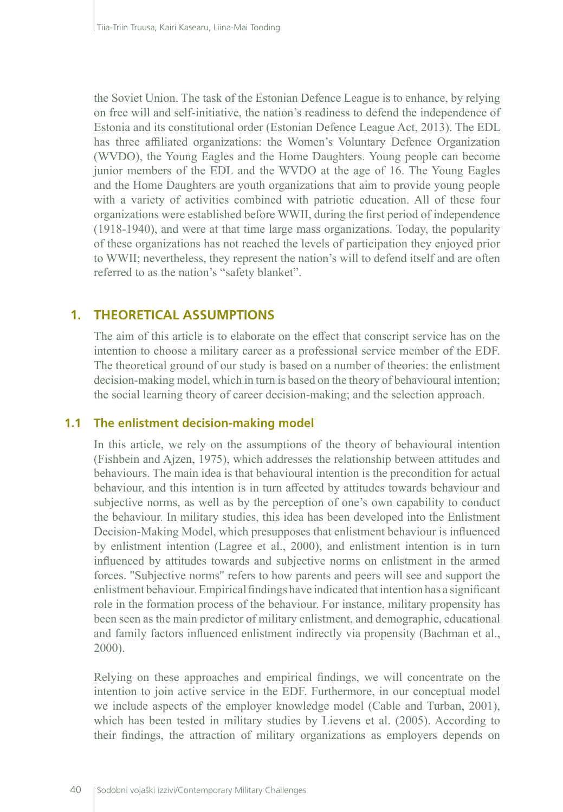the Soviet Union. The task of the Estonian Defence League is to enhance, by relying on free will and self-initiative, the nation's readiness to defend the independence of Estonia and its constitutional order (Estonian Defence League Act, 2013). The EDL has three affiliated organizations: the Women's Voluntary Defence Organization (WVDO), the Young Eagles and the Home Daughters. Young people can become junior members of the EDL and the WVDO at the age of 16. The Young Eagles and the Home Daughters are youth organizations that aim to provide young people with a variety of activities combined with patriotic education. All of these four organizations were established before WWII, during the first period of independence (1918-1940), and were at that time large mass organizations. Today, the popularity of these organizations has not reached the levels of participation they enjoyed prior to WWII; nevertheless, they represent the nation's will to defend itself and are often referred to as the nation's "safety blanket".

# **1. THEORETICAL ASSUMPTIONS**

The aim of this article is to elaborate on the effect that conscript service has on the intention to choose a military career as a professional service member of the EDF. The theoretical ground of our study is based on a number of theories: the enlistment decision-making model, which in turn is based on the theory of behavioural intention; the social learning theory of career decision-making; and the selection approach.

#### **1.1 The enlistment decision-making model**

In this article, we rely on the assumptions of the theory of behavioural intention (Fishbein and Ajzen, 1975), which addresses the relationship between attitudes and behaviours. The main idea is that behavioural intention is the precondition for actual behaviour, and this intention is in turn affected by attitudes towards behaviour and subjective norms, as well as by the perception of one's own capability to conduct the behaviour. In military studies, this idea has been developed into the Enlistment Decision-Making Model, which presupposes that enlistment behaviour is influenced by enlistment intention (Lagree et al., 2000), and enlistment intention is in turn influenced by attitudes towards and subjective norms on enlistment in the armed forces. "Subjective norms" refers to how parents and peers will see and support the enlistment behaviour. Empirical findings have indicated that intention has a significant role in the formation process of the behaviour. For instance, military propensity has been seen as the main predictor of military enlistment, and demographic, educational and family factors influenced enlistment indirectly via propensity (Bachman et al., 2000).

Relying on these approaches and empirical findings, we will concentrate on the intention to join active service in the EDF. Furthermore, in our conceptual model we include aspects of the employer knowledge model (Cable and Turban, 2001), which has been tested in military studies by Lievens et al. (2005). According to their findings, the attraction of military organizations as employers depends on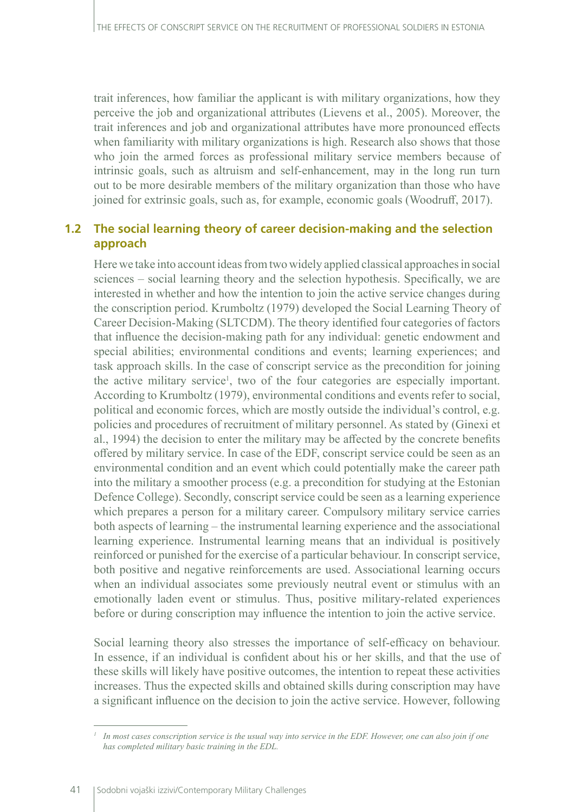trait inferences, how familiar the applicant is with military organizations, how they perceive the job and organizational attributes (Lievens et al., 2005). Moreover, the trait inferences and job and organizational attributes have more pronounced effects when familiarity with military organizations is high. Research also shows that those who join the armed forces as professional military service members because of intrinsic goals, such as altruism and self-enhancement, may in the long run turn out to be more desirable members of the military organization than those who have joined for extrinsic goals, such as, for example, economic goals (Woodruff, 2017).

# **1.2 The social learning theory of career decision-making and the selection approach**

Here we take into account ideas from two widely applied classical approaches in social sciences – social learning theory and the selection hypothesis. Specifically, we are interested in whether and how the intention to join the active service changes during the conscription period. Krumboltz (1979) developed the Social Learning Theory of Career Decision-Making (SLTCDM). The theory identified four categories of factors that influence the decision-making path for any individual: genetic endowment and special abilities; environmental conditions and events; learning experiences; and task approach skills. In the case of conscript service as the precondition for joining the active military service<sup>1</sup>, two of the four categories are especially important. According to Krumboltz (1979), environmental conditions and events refer to social, political and economic forces, which are mostly outside the individual's control, e.g. policies and procedures of recruitment of military personnel. As stated by (Ginexi et al., 1994) the decision to enter the military may be affected by the concrete benefits offered by military service. In case of the EDF, conscript service could be seen as an environmental condition and an event which could potentially make the career path into the military a smoother process (e.g. a precondition for studying at the Estonian Defence College). Secondly, conscript service could be seen as a learning experience which prepares a person for a military career. Compulsory military service carries both aspects of learning – the instrumental learning experience and the associational learning experience. Instrumental learning means that an individual is positively reinforced or punished for the exercise of a particular behaviour. In conscript service, both positive and negative reinforcements are used. Associational learning occurs when an individual associates some previously neutral event or stimulus with an emotionally laden event or stimulus. Thus, positive military-related experiences before or during conscription may influence the intention to join the active service.

Social learning theory also stresses the importance of self-efficacy on behaviour. In essence, if an individual is confident about his or her skills, and that the use of these skills will likely have positive outcomes, the intention to repeat these activities increases. Thus the expected skills and obtained skills during conscription may have a significant influence on the decision to join the active service. However, following

*<sup>1</sup> In most cases conscription service is the usual way into service in the EDF. However, one can also join if one has completed military basic training in the EDL.*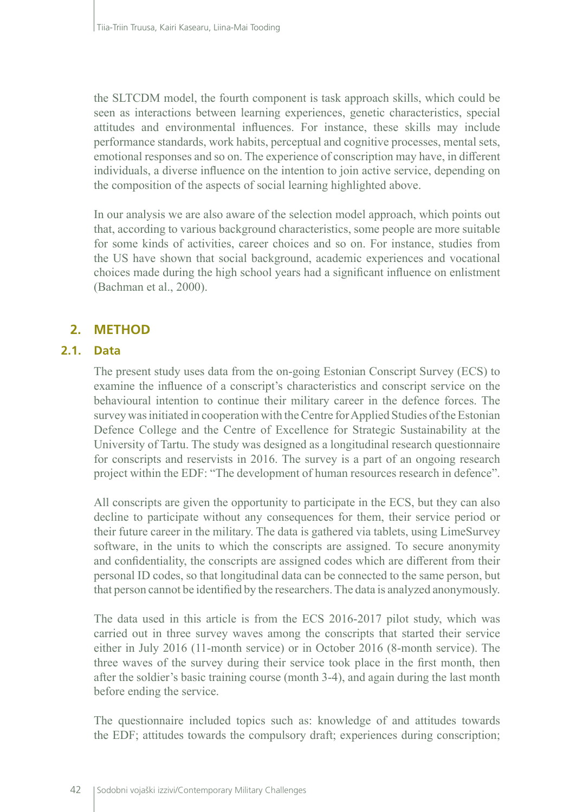the SLTCDM model, the fourth component is task approach skills, which could be seen as interactions between learning experiences, genetic characteristics, special attitudes and environmental influences. For instance, these skills may include performance standards, work habits, perceptual and cognitive processes, mental sets, emotional responses and so on. The experience of conscription may have, in different individuals, a diverse influence on the intention to join active service, depending on the composition of the aspects of social learning highlighted above.

In our analysis we are also aware of the selection model approach, which points out that, according to various background characteristics, some people are more suitable for some kinds of activities, career choices and so on. For instance, studies from the US have shown that social background, academic experiences and vocational choices made during the high school years had a significant influence on enlistment (Bachman et al., 2000).

# **2. METHOD**

### **2.1. Data**

The present study uses data from the on-going Estonian Conscript Survey (ECS) to examine the influence of a conscript's characteristics and conscript service on the behavioural intention to continue their military career in the defence forces. The survey was initiated in cooperation with the Centre for Applied Studies of the Estonian Defence College and the Centre of Excellence for Strategic Sustainability at the University of Tartu. The study was designed as a longitudinal research questionnaire for conscripts and reservists in 2016. The survey is a part of an ongoing research project within the EDF: "The development of human resources research in defence".

All conscripts are given the opportunity to participate in the ECS, but they can also decline to participate without any consequences for them, their service period or their future career in the military. The data is gathered via tablets, using LimeSurvey software, in the units to which the conscripts are assigned. To secure anonymity and confidentiality, the conscripts are assigned codes which are different from their personal ID codes, so that longitudinal data can be connected to the same person, but that person cannot be identified by the researchers. The data is analyzed anonymously.

The data used in this article is from the ECS 2016-2017 pilot study, which was carried out in three survey waves among the conscripts that started their service either in July 2016 (11-month service) or in October 2016 (8-month service). The three waves of the survey during their service took place in the first month, then after the soldier's basic training course (month 3-4), and again during the last month before ending the service.

The questionnaire included topics such as: knowledge of and attitudes towards the EDF; attitudes towards the compulsory draft; experiences during conscription;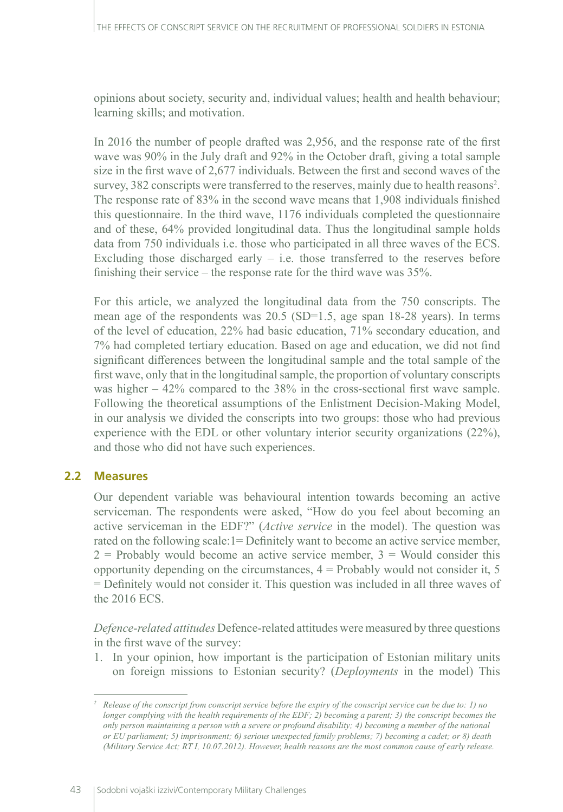opinions about society, security and, individual values; health and health behaviour; learning skills; and motivation.

In 2016 the number of people drafted was 2,956, and the response rate of the first wave was 90% in the July draft and 92% in the October draft, giving a total sample size in the first wave of 2,677 individuals. Between the first and second waves of the survey, 382 conscripts were transferred to the reserves, mainly due to health reasons<sup>2</sup>. The response rate of 83% in the second wave means that 1,908 individuals finished this questionnaire. In the third wave, 1176 individuals completed the questionnaire and of these, 64% provided longitudinal data. Thus the longitudinal sample holds data from 750 individuals i.e. those who participated in all three waves of the ECS. Excluding those discharged early  $-$  i.e. those transferred to the reserves before finishing their service – the response rate for the third wave was 35%.

For this article, we analyzed the longitudinal data from the 750 conscripts. The mean age of the respondents was 20.5 (SD=1.5, age span 18-28 years). In terms of the level of education, 22% had basic education, 71% secondary education, and 7% had completed tertiary education. Based on age and education, we did not find significant differences between the longitudinal sample and the total sample of the first wave, only that in the longitudinal sample, the proportion of voluntary conscripts was higher – 42% compared to the 38% in the cross-sectional first wave sample. Following the theoretical assumptions of the Enlistment Decision-Making Model, in our analysis we divided the conscripts into two groups: those who had previous experience with the EDL or other voluntary interior security organizations (22%), and those who did not have such experiences.

# **2.2 Measures**

Our dependent variable was behavioural intention towards becoming an active serviceman. The respondents were asked, "How do you feel about becoming an active serviceman in the EDF?" (*Active service* in the model). The question was rated on the following scale:1= Definitely want to become an active service member,  $2$  = Probably would become an active service member,  $3$  = Would consider this opportunity depending on the circumstances,  $4 =$  Probably would not consider it, 5 = Definitely would not consider it. This question was included in all three waves of the 2016 ECS.

*Defence-related attitudes* Defence-related attitudes were measured by three questions in the first wave of the survey:

1. In your opinion, how important is the participation of Estonian military units on foreign missions to Estonian security? (*Deployments* in the model) This

*<sup>2</sup> Release of the conscript from conscript service before the expiry of the conscript service can be due to: 1) no longer complying with the health requirements of the EDF; 2) becoming a parent; 3) the conscript becomes the only person maintaining a person with a severe or profound disability; 4) becoming a member of the national or EU parliament; 5) imprisonment; 6) serious unexpected family problems; 7) becoming a cadet; or 8) death (Military Service Act; RT I, 10.07.2012). However, health reasons are the most common cause of early release.*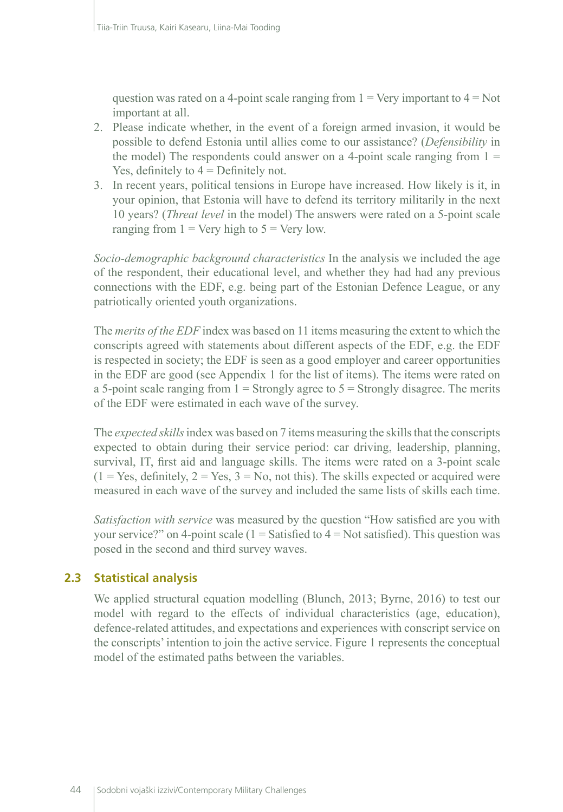question was rated on a 4-point scale ranging from  $1 = \text{Very important to } 4 = \text{Not}$ important at all.

- 2. Please indicate whether, in the event of a foreign armed invasion, it would be possible to defend Estonia until allies come to our assistance? (*Defensibility* in the model) The respondents could answer on a 4-point scale ranging from  $1 =$ Yes, definitely to  $4 =$  Definitely not.
- 3. In recent years, political tensions in Europe have increased. How likely is it, in your opinion, that Estonia will have to defend its territory militarily in the next 10 years? (*Threat level* in the model) The answers were rated on a 5-point scale ranging from  $1 = \text{Very high to } 5 = \text{Very low.}$

*Socio-demographic background characteristics* In the analysis we included the age of the respondent, their educational level, and whether they had had any previous connections with the EDF, e.g. being part of the Estonian Defence League, or any patriotically oriented youth organizations.

The *merits of the EDF* index was based on 11 items measuring the extent to which the conscripts agreed with statements about different aspects of the EDF, e.g. the EDF is respected in society; the EDF is seen as a good employer and career opportunities in the EDF are good (see Appendix 1 for the list of items). The items were rated on a 5-point scale ranging from  $1 =$  Strongly agree to  $5 =$  Strongly disagree. The merits of the EDF were estimated in each wave of the survey.

The *expected skills* index was based on 7 items measuring the skills that the conscripts expected to obtain during their service period: car driving, leadership, planning, survival, IT, first aid and language skills. The items were rated on a 3-point scale  $(1 = Yes, definitely, 2 = Yes, 3 = No, not this).$  The skills expected or acquired were measured in each wave of the survey and included the same lists of skills each time.

*Satisfaction with service* was measured by the question "How satisfied are you with your service?" on 4-point scale ( $1 =$  Satisfied to  $4 =$  Not satisfied). This question was posed in the second and third survey waves.

# **2.3 Statistical analysis**

We applied structural equation modelling (Blunch, 2013; Byrne, 2016) to test our model with regard to the effects of individual characteristics (age, education), defence-related attitudes, and expectations and experiences with conscript service on the conscripts' intention to join the active service. Figure 1 represents the conceptual model of the estimated paths between the variables.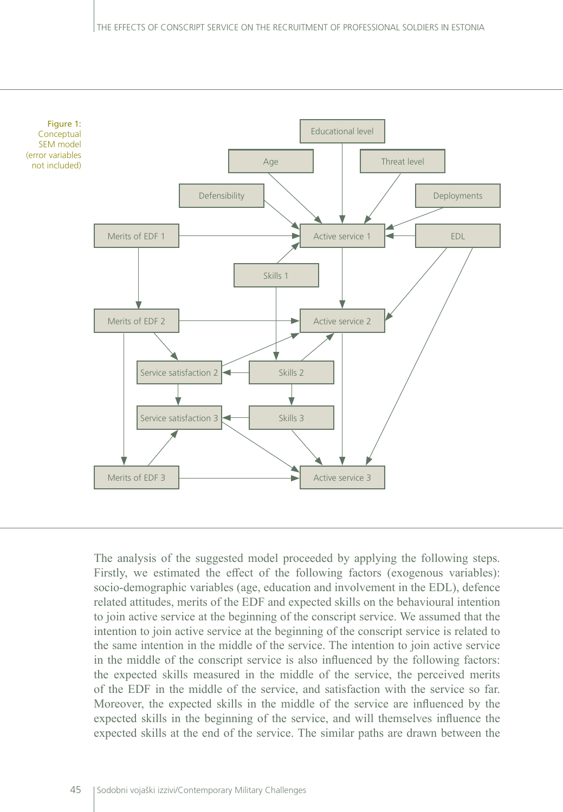

The analysis of the suggested model proceeded by applying the following steps. Firstly, we estimated the effect of the following factors (exogenous variables): socio-demographic variables (age, education and involvement in the EDL), defence related attitudes, merits of the EDF and expected skills on the behavioural intention to join active service at the beginning of the conscript service. We assumed that the intention to join active service at the beginning of the conscript service is related to the same intention in the middle of the service. The intention to join active service in the middle of the conscript service is also influenced by the following factors: the expected skills measured in the middle of the service, the perceived merits of the EDF in the middle of the service, and satisfaction with the service so far. Moreover, the expected skills in the middle of the service are influenced by the expected skills in the beginning of the service, and will themselves influence the expected skills at the end of the service. The similar paths are drawn between the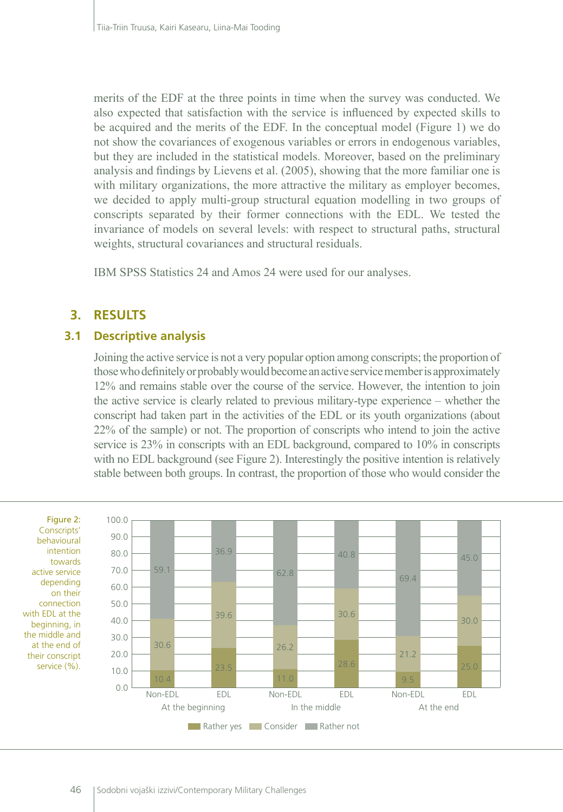merits of the EDF at the three points in time when the survey was conducted. We also expected that satisfaction with the service is influenced by expected skills to be acquired and the merits of the EDF. In the conceptual model (Figure 1) we do not show the covariances of exogenous variables or errors in endogenous variables, but they are included in the statistical models. Moreover, based on the preliminary analysis and findings by Lievens et al. (2005), showing that the more familiar one is with military organizations, the more attractive the military as employer becomes, we decided to apply multi-group structural equation modelling in two groups of conscripts separated by their former connections with the EDL. We tested the invariance of models on several levels: with respect to structural paths, structural weights, structural covariances and structural residuals.

IBM SPSS Statistics 24 and Amos 24 were used for our analyses.

# **3. RESULTS**

### **3.1 Descriptive analysis**

Joining the active service is not a very popular option among conscripts; the proportion of those who definitely or probably would become an active service member is approximately 12% and remains stable over the course of the service. However, the intention to join the active service is clearly related to previous military-type experience – whether the conscript had taken part in the activities of the EDL or its youth organizations (about 22% of the sample) or not. The proportion of conscripts who intend to join the active service is 23% in conscripts with an EDL background, compared to 10% in conscripts with no EDL background (see Figure 2). Interestingly the positive intention is relatively stable between both groups. In contrast, the proportion of those who would consider the



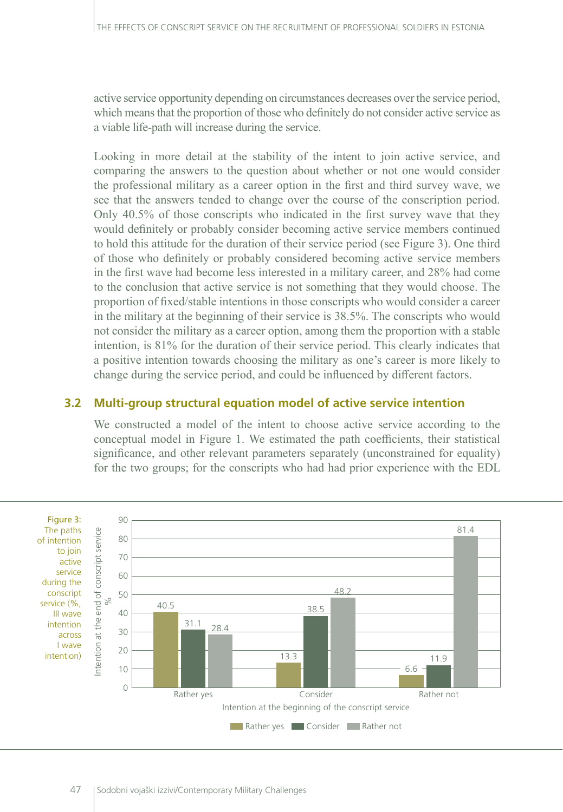active service opportunity depending on circumstances decreases over the service period, which means that the proportion of those who definitely do not consider active service as a viable life-path will increase during the service.

Looking in more detail at the stability of the intent to join active service, and comparing the answers to the question about whether or not one would consider the professional military as a career option in the first and third survey wave, we see that the answers tended to change over the course of the conscription period. Only 40.5% of those conscripts who indicated in the first survey wave that they would definitely or probably consider becoming active service members continued to hold this attitude for the duration of their service period (see Figure 3). One third of those who definitely or probably considered becoming active service members in the first wave had become less interested in a military career, and 28% had come to the conclusion that active service is not something that they would choose. The proportion of fixed/stable intentions in those conscripts who would consider a career in the military at the beginning of their service is 38.5%. The conscripts who would not consider the military as a career option, among them the proportion with a stable intention, is 81% for the duration of their service period. This clearly indicates that a positive intention towards choosing the military as one's career is more likely to change during the service period, and could be influenced by different factors.

#### **3.2 Multi-group structural equation model of active service intention**

We constructed a model of the intent to choose active service according to the conceptual model in Figure 1. We estimated the path coefficients, their statistical significance, and other relevant parameters separately (unconstrained for equality) for the two groups; for the conscripts who had had prior experience with the EDL

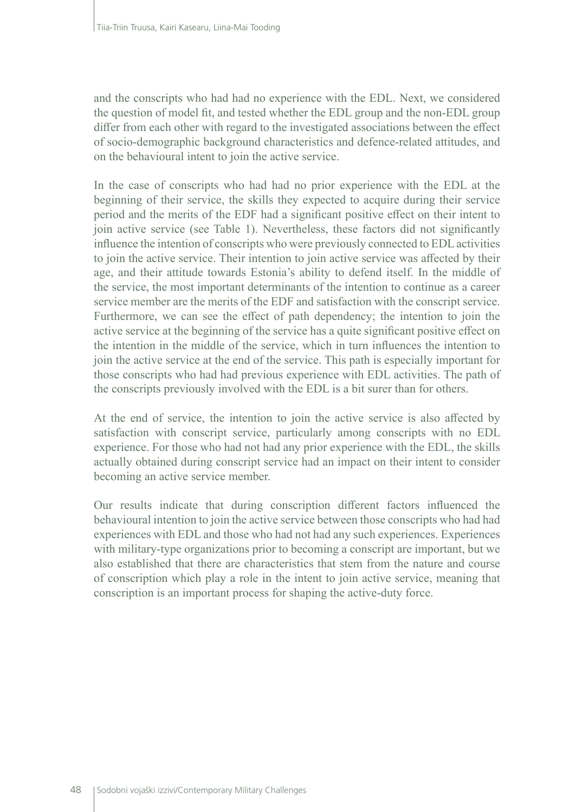and the conscripts who had had no experience with the EDL. Next, we considered the question of model fit, and tested whether the EDL group and the non-EDL group differ from each other with regard to the investigated associations between the effect of socio-demographic background characteristics and defence-related attitudes, and on the behavioural intent to join the active service.

In the case of conscripts who had had no prior experience with the EDL at the beginning of their service, the skills they expected to acquire during their service period and the merits of the EDF had a significant positive effect on their intent to join active service (see Table 1). Nevertheless, these factors did not significantly influence the intention of conscripts who were previously connected to EDL activities to join the active service. Their intention to join active service was affected by their age, and their attitude towards Estonia's ability to defend itself. In the middle of the service, the most important determinants of the intention to continue as a career service member are the merits of the EDF and satisfaction with the conscript service. Furthermore, we can see the effect of path dependency; the intention to join the active service at the beginning of the service has a quite significant positive effect on the intention in the middle of the service, which in turn influences the intention to join the active service at the end of the service. This path is especially important for those conscripts who had had previous experience with EDL activities. The path of the conscripts previously involved with the EDL is a bit surer than for others.

At the end of service, the intention to join the active service is also affected by satisfaction with conscript service, particularly among conscripts with no EDL experience. For those who had not had any prior experience with the EDL, the skills actually obtained during conscript service had an impact on their intent to consider becoming an active service member.

Our results indicate that during conscription different factors influenced the behavioural intention to join the active service between those conscripts who had had experiences with EDL and those who had not had any such experiences. Experiences with military-type organizations prior to becoming a conscript are important, but we also established that there are characteristics that stem from the nature and course of conscription which play a role in the intent to join active service, meaning that conscription is an important process for shaping the active-duty force.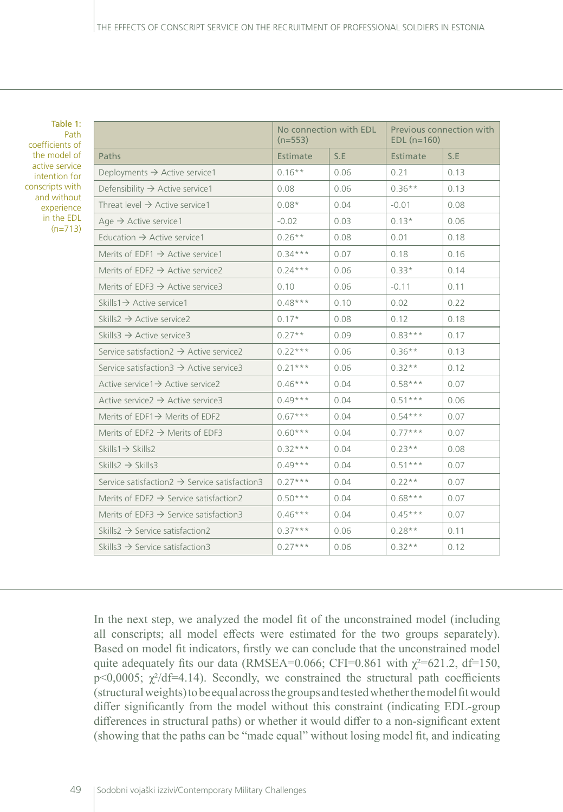Table 1: Path coefficients of the model of active service intention for conscripts with and without experience in the EDL (n=713)

|                                                             | No connection with EDL<br>$(n=553)$ |      | Previous connection with<br>$EDL$ (n=160) |      |
|-------------------------------------------------------------|-------------------------------------|------|-------------------------------------------|------|
| Paths                                                       | Estimate                            | S.E  | Estimate                                  | S.E  |
| Deployments $\rightarrow$ Active service1                   | $0.16***$                           | 0.06 | 0.21                                      | 0.13 |
| Defensibility $\rightarrow$ Active service1                 | 0.08                                | 0.06 | $0.36***$                                 | 0.13 |
| Threat level $\rightarrow$ Active service 1                 | $0.08*$                             | 0.04 | $-0.01$                                   | 0.08 |
| Age $\rightarrow$ Active service1                           | $-0.02$                             | 0.03 | $0.13*$                                   | 0.06 |
| Education $\rightarrow$ Active service 1                    | $0.26***$                           | 0.08 | 0.01                                      | 0.18 |
| Merits of EDF1 $\rightarrow$ Active service1                | $0.34***$                           | 0.07 | 0.18                                      | 0.16 |
| Merits of EDF2 $\rightarrow$ Active service2                | $0.24***$                           | 0.06 | $0.33*$                                   | 0.14 |
| Merits of EDF3 $\rightarrow$ Active service3                | 0.10                                | 0.06 | $-0.11$                                   | 0.11 |
| Skills1 $\rightarrow$ Active service1                       | $0.48***$                           | 0.10 | 0.02                                      | 0.22 |
| Skills2 $\rightarrow$ Active service2                       | $0.17*$                             | 0.08 | 0.12                                      | 0.18 |
| Skills3 $\rightarrow$ Active service3                       | $0.27**$                            | 0.09 | $0.83***$                                 | 0.17 |
| Service satisfaction $2 \rightarrow$ Active service 2       | $0.22***$                           | 0.06 | $0.36**$                                  | 0.13 |
| Service satisfaction $3 \rightarrow$ Active service 3       | $0.21***$                           | 0.06 | $0.32**$                                  | 0.12 |
| Active service $1 \rightarrow$ Active service 2             | $0.46***$                           | 0.04 | $0.58***$                                 | 0.07 |
| Active service $2 \rightarrow$ Active service 3             | $0.49***$                           | 0.04 | $0.51***$                                 | 0.06 |
| Merits of EDF1 $\rightarrow$ Merits of EDF2                 | $0.67***$                           | 0.04 | $0.54***$                                 | 0.07 |
| Merits of EDF2 $\rightarrow$ Merits of EDF3                 | $0.60***$                           | 0.04 | $0.77***$                                 | 0.07 |
| $Skills1 \rightarrow Skills2$                               | $0.32***$                           | 0.04 | $0.23**$                                  | 0.08 |
| Skills2 $\rightarrow$ Skills3                               | $0.49***$                           | 0.04 | $0.51***$                                 | 0.07 |
| Service satisfaction $2 \rightarrow$ Service satisfaction 3 | $0.27***$                           | 0.04 | $0.22**$                                  | 0.07 |
| Merits of EDF2 $\rightarrow$ Service satisfaction2          | $0.50***$                           | 0.04 | $0.68***$                                 | 0.07 |
| Merits of EDF3 $\rightarrow$ Service satisfaction3          | $0.46***$                           | 0.04 | $0.45***$                                 | 0.07 |
| Skills2 $\rightarrow$ Service satisfaction2                 | $0.37***$                           | 0.06 | $0.28**$                                  | 0.11 |
| Skills3 $\rightarrow$ Service satisfaction3                 | $0.27***$                           | 0.06 | $0.32**$                                  | 0.12 |

In the next step, we analyzed the model fit of the unconstrained model (including all conscripts; all model effects were estimated for the two groups separately). Based on model fit indicators, firstly we can conclude that the unconstrained model quite adequately fits our data (RMSEA=0.066; CFI=0.861 with  $\chi^2$ =621.2, df=150, p<0,0005;  $\chi^2$ /df=4.14). Secondly, we constrained the structural path coefficients (structural weights) to be equal across the groups and tested whether the model fit would differ significantly from the model without this constraint (indicating EDL-group differences in structural paths) or whether it would differ to a non-significant extent (showing that the paths can be "made equal" without losing model fit, and indicating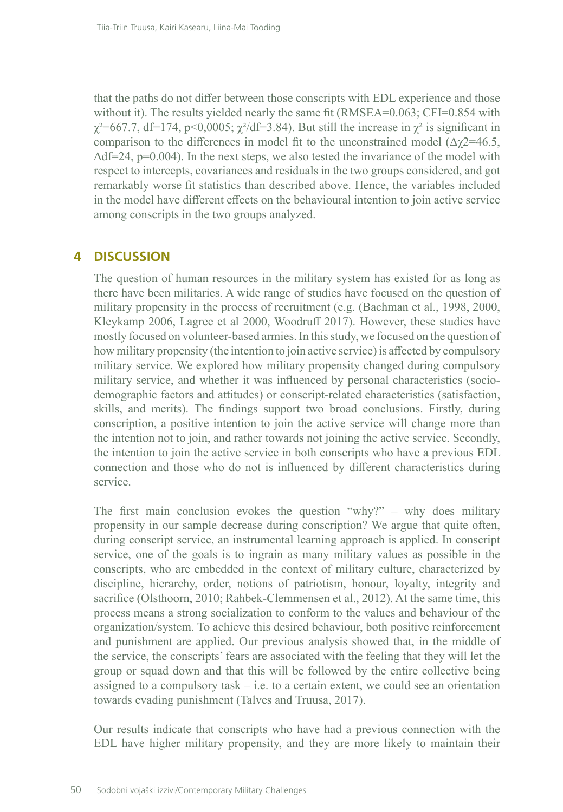that the paths do not differ between those conscripts with EDL experience and those without it). The results yielded nearly the same fit (RMSEA=0.063; CFI=0.854 with  $\chi^2$ =667.7, df=174, p<0,0005;  $\chi^2$ /df=3.84). But still the increase in  $\chi^2$  is significant in comparison to the differences in model fit to the unconstrained model  $(\Delta \gamma 2=46.5,$  $\Delta df = 24$ , p=0.004). In the next steps, we also tested the invariance of the model with respect to intercepts, covariances and residuals in the two groups considered, and got remarkably worse fit statistics than described above. Hence, the variables included in the model have different effects on the behavioural intention to join active service among conscripts in the two groups analyzed.

# **4 DISCUSSION**

The question of human resources in the military system has existed for as long as there have been militaries. A wide range of studies have focused on the question of military propensity in the process of recruitment (e.g. (Bachman et al., 1998, 2000, Kleykamp 2006, Lagree et al 2000, Woodruff 2017). However, these studies have mostly focused on volunteer-based armies. In this study, we focused on the question of how military propensity (the intention to join active service) is affected by compulsory military service. We explored how military propensity changed during compulsory military service, and whether it was influenced by personal characteristics (sociodemographic factors and attitudes) or conscript-related characteristics (satisfaction, skills, and merits). The findings support two broad conclusions. Firstly, during conscription, a positive intention to join the active service will change more than the intention not to join, and rather towards not joining the active service. Secondly, the intention to join the active service in both conscripts who have a previous EDL connection and those who do not is influenced by different characteristics during service.

The first main conclusion evokes the question "why?" – why does military propensity in our sample decrease during conscription? We argue that quite often, during conscript service, an instrumental learning approach is applied. In conscript service, one of the goals is to ingrain as many military values as possible in the conscripts, who are embedded in the context of military culture, characterized by discipline, hierarchy, order, notions of patriotism, honour, loyalty, integrity and sacrifice (Olsthoorn, 2010; Rahbek-Clemmensen et al., 2012). At the same time, this process means a strong socialization to conform to the values and behaviour of the organization/system. To achieve this desired behaviour, both positive reinforcement and punishment are applied. Our previous analysis showed that, in the middle of the service, the conscripts' fears are associated with the feeling that they will let the group or squad down and that this will be followed by the entire collective being assigned to a compulsory task  $-$  i.e. to a certain extent, we could see an orientation towards evading punishment (Talves and Truusa, 2017).

Our results indicate that conscripts who have had a previous connection with the EDL have higher military propensity, and they are more likely to maintain their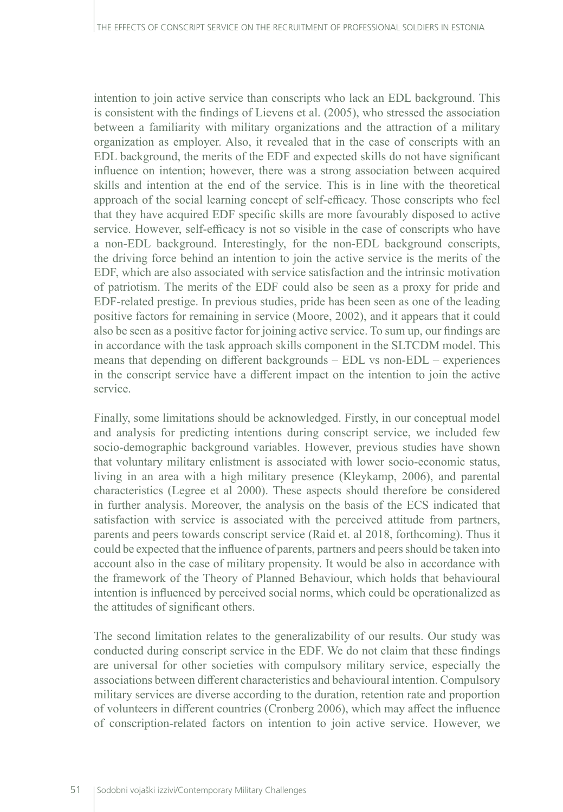intention to join active service than conscripts who lack an EDL background. This is consistent with the findings of Lievens et al. (2005), who stressed the association between a familiarity with military organizations and the attraction of a military organization as employer. Also, it revealed that in the case of conscripts with an EDL background, the merits of the EDF and expected skills do not have significant influence on intention; however, there was a strong association between acquired skills and intention at the end of the service. This is in line with the theoretical approach of the social learning concept of self-efficacy. Those conscripts who feel that they have acquired EDF specific skills are more favourably disposed to active service. However, self-efficacy is not so visible in the case of conscripts who have a non-EDL background. Interestingly, for the non-EDL background conscripts, the driving force behind an intention to join the active service is the merits of the EDF, which are also associated with service satisfaction and the intrinsic motivation of patriotism. The merits of the EDF could also be seen as a proxy for pride and EDF-related prestige. In previous studies, pride has been seen as one of the leading positive factors for remaining in service (Moore, 2002), and it appears that it could also be seen as a positive factor for joining active service. To sum up, our findings are in accordance with the task approach skills component in the SLTCDM model. This means that depending on different backgrounds – EDL vs non-EDL – experiences in the conscript service have a different impact on the intention to join the active service.

Finally, some limitations should be acknowledged. Firstly, in our conceptual model and analysis for predicting intentions during conscript service, we included few socio-demographic background variables. However, previous studies have shown that voluntary military enlistment is associated with lower socio-economic status, living in an area with a high military presence (Kleykamp, 2006), and parental characteristics (Legree et al 2000). These aspects should therefore be considered in further analysis. Moreover, the analysis on the basis of the ECS indicated that satisfaction with service is associated with the perceived attitude from partners, parents and peers towards conscript service (Raid et. al 2018, forthcoming). Thus it could be expected that the influence of parents, partners and peers should be taken into account also in the case of military propensity. It would be also in accordance with the framework of the Theory of Planned Behaviour, which holds that behavioural intention is influenced by perceived social norms, which could be operationalized as the attitudes of significant others.

The second limitation relates to the generalizability of our results. Our study was conducted during conscript service in the EDF. We do not claim that these findings are universal for other societies with compulsory military service, especially the associations between different characteristics and behavioural intention. Compulsory military services are diverse according to the duration, retention rate and proportion of volunteers in different countries (Cronberg 2006), which may affect the influence of conscription-related factors on intention to join active service. However, we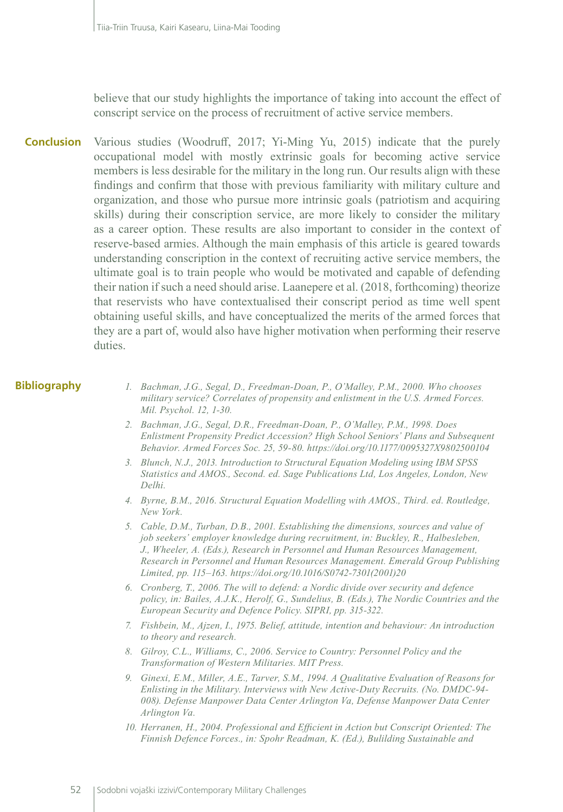believe that our study highlights the importance of taking into account the effect of conscript service on the process of recruitment of active service members.

Various studies (Woodruff, 2017; Yi-Ming Yu, 2015) indicate that the purely occupational model with mostly extrinsic goals for becoming active service members is less desirable for the military in the long run. Our results align with these findings and confirm that those with previous familiarity with military culture and organization, and those who pursue more intrinsic goals (patriotism and acquiring skills) during their conscription service, are more likely to consider the military as a career option. These results are also important to consider in the context of reserve-based armies. Although the main emphasis of this article is geared towards understanding conscription in the context of recruiting active service members, the ultimate goal is to train people who would be motivated and capable of defending their nation if such a need should arise. Laanepere et al. (2018, forthcoming) theorize that reservists who have contextualised their conscript period as time well spent obtaining useful skills, and have conceptualized the merits of the armed forces that they are a part of, would also have higher motivation when performing their reserve duties. **Conclusion**

#### **Bibliography**

- *1. Bachman, J.G., Segal, D., Freedman-Doan, P., O'Malley, P.M., 2000. Who chooses military service? Correlates of propensity and enlistment in the U.S. Armed Forces. Mil. Psychol. 12, 1-30.*
- *2. Bachman, J.G., Segal, D.R., Freedman-Doan, P., O'Malley, P.M., 1998. Does Enlistment Propensity Predict Accession? High School Seniors' Plans and Subsequent Behavior. Armed Forces Soc. 25, 59-80. https://doi.org/10.1177/0095327X9802500104*
- *3. Blunch, N.J., 2013. Introduction to Structural Equation Modeling using IBM SPSS Statistics and AMOS., Second. ed. Sage Publications Ltd, Los Angeles, London, New Delhi.*
- *4. Byrne, B.M., 2016. Structural Equation Modelling with AMOS., Third. ed. Routledge, New York.*
- *5. Cable, D.M., Turban, D.B., 2001. Establishing the dimensions, sources and value of job seekers' employer knowledge during recruitment, in: Buckley, R., Halbesleben, J., Wheeler, A. (Eds.), Research in Personnel and Human Resources Management, Research in Personnel and Human Resources Management. Emerald Group Publishing Limited, pp. 115–163. https://doi.org/10.1016/S0742-7301(2001)20*
- *6. Cronberg, T., 2006. The will to defend: a Nordic divide over security and defence policy, in: Bailes, A.J.K., Herolf, G., Sundelius, B. (Eds.), The Nordic Countries and the European Security and Defence Policy. SIPRI, pp. 315-322.*
- *7. Fishbein, M., Ajzen, I., 1975. Belief, attitude, intention and behaviour: An introduction to theory and research.*
- *8. Gilroy, C.L., Williams, C., 2006. Service to Country: Personnel Policy and the Transformation of Western Militaries. MIT Press.*
- *9. Ginexi, E.M., Miller, A.E., Tarver, S.M., 1994. A Qualitative Evaluation of Reasons for Enlisting in the Military. Interviews with New Active-Duty Recruits. (No. DMDC-94- 008). Defense Manpower Data Center Arlington Va, Defense Manpower Data Center Arlington Va.*
- *10. Herranen, H., 2004. Professional and Efficient in Action but Conscript Oriented: The Finnish Defence Forces., in: Spohr Readman, K. (Ed.), Bulilding Sustainable and*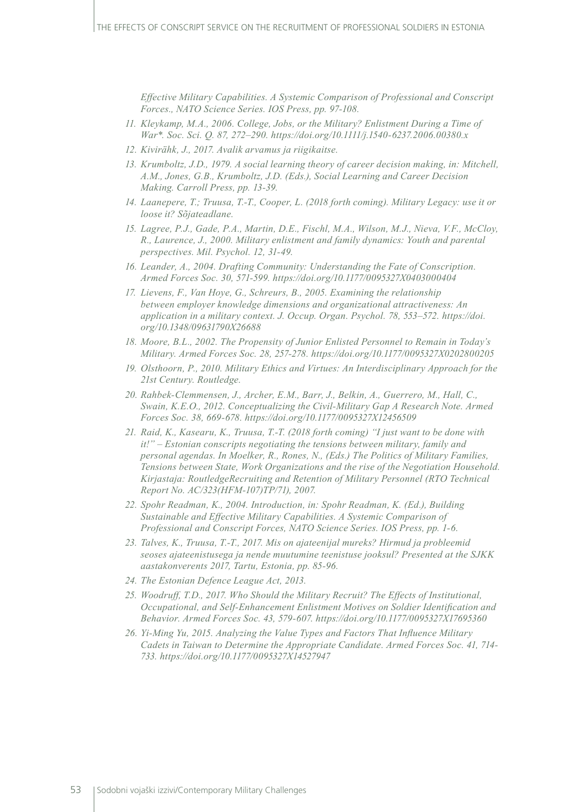*Effective Military Capabilities. A Systemic Comparison of Professional and Conscript Forces., NATO Science Series. IOS Press, pp. 97-108.*

- *11. Kleykamp, M.A., 2006. College, Jobs, or the Military? Enlistment During a Time of War\*. Soc. Sci. Q. 87, 272–290. https://doi.org/10.1111/j.1540-6237.2006.00380.x*
- *12. Kivirähk, J., 2017. Avalik arvamus ja riigikaitse.*
- *13. Krumboltz, J.D., 1979. A social learning theory of career decision making, in: Mitchell, A.M., Jones, G.B., Krumboltz, J.D. (Eds.), Social Learning and Career Decision Making. Carroll Press, pp. 13-39.*
- *14. Laanepere, T.; Truusa, T.-T., Cooper, L. (2018 forth coming). Military Legacy: use it or loose it? Sõjateadlane.*
- *15. Lagree, P.J., Gade, P.A., Martin, D.E., Fischl, M.A., Wilson, M.J., Nieva, V.F., McCloy, R., Laurence, J., 2000. Military enlistment and family dynamics: Youth and parental perspectives. Mil. Psychol. 12, 31-49.*
- *16. Leander, A., 2004. Drafting Community: Understanding the Fate of Conscription. Armed Forces Soc. 30, 571-599. https://doi.org/10.1177/0095327X0403000404*
- *17. Lievens, F., Van Hoye, G., Schreurs, B., 2005. Examining the relationship between employer knowledge dimensions and organizational attractiveness: An application in a military context. J. Occup. Organ. Psychol. 78, 553–572. https://doi. org/10.1348/09631790X26688*
- *18. Moore, B.L., 2002. The Propensity of Junior Enlisted Personnel to Remain in Today's Military. Armed Forces Soc. 28, 257-278. https://doi.org/10.1177/0095327X0202800205*
- *19. Olsthoorn, P., 2010. Military Ethics and Virtues: An Interdisciplinary Approach for the 21st Century. Routledge.*
- *20. Rahbek-Clemmensen, J., Archer, E.M., Barr, J., Belkin, A., Guerrero, M., Hall, C., Swain, K.E.O., 2012. Conceptualizing the Civil-Military Gap A Research Note. Armed Forces Soc. 38, 669-678. https://doi.org/10.1177/0095327X12456509*
- *21. Raid, K., Kasearu, K., Truusa, T.-T. (2018 forth coming) "I just want to be done with it!" – Estonian conscripts negotiating the tensions between military, family and personal agendas. In Moelker, R., Rones, N., (Eds.) The Politics of Military Families, Tensions between State, Work Organizations and the rise of the Negotiation Household. Kirjastaja: RoutledgeRecruiting and Retention of Military Personnel (RTO Technical Report No. AC/323(HFM-107)TP/71), 2007.*
- *22. Spohr Readman, K., 2004. Introduction, in: Spohr Readman, K. (Ed.), Building Sustainable and Effective Military Capabilities. A Systemic Comparison of Professional and Conscript Forces, NATO Science Series. IOS Press, pp. 1-6.*
- *23. Talves, K., Truusa, T.-T., 2017. Mis on ajateenijal mureks? Hirmud ja probleemid seoses ajateenistusega ja nende muutumine teenistuse jooksul? Presented at the SJKK aastakonverents 2017, Tartu, Estonia, pp. 85-96.*
- *24. The Estonian Defence League Act, 2013.*
- *25. Woodruff, T.D., 2017. Who Should the Military Recruit? The Effects of Institutional, Occupational, and Self-Enhancement Enlistment Motives on Soldier Identification and Behavior. Armed Forces Soc. 43, 579-607. https://doi.org/10.1177/0095327X17695360*
- *26. Yi-Ming Yu, 2015. Analyzing the Value Types and Factors That Influence Military Cadets in Taiwan to Determine the Appropriate Candidate. Armed Forces Soc. 41, 714- 733. https://doi.org/10.1177/0095327X14527947*